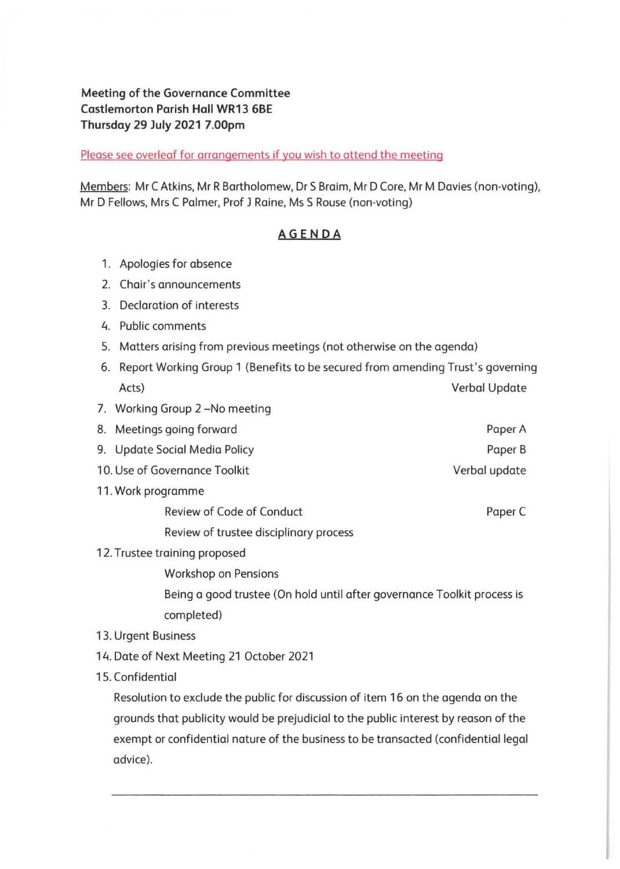## **Meeting of the Governance Committee Castlemorton Parish Hall WR13 6BE Thursday 29 July 2021 7.00pm**

Please see overleaf for arrangements if you wish to attend the meeting

Members: Mr C Atkins, Mr R Bartholomew, Dr S Braim, Mr D Core, Mr M Davies (non-voting), Mr D Fellows, Mrs C Palmer, Prof J Raine, Ms S Rouse (non-voting)

## **AGENDA**

- 1. Apologies for absence
- 2. Chair's announcements
- 3. Declaration of interests
- 4. Public comments
- 5. Matters arising from previous meetings (not otherwise on the agenda)
- 6. Report Working Group 1 (Benefits to be secured from amending Trust's governing Acts) Verbal Update
- 7. Working Group 2-No meeting
- 8. Meetings going forward 9. Update Social Media Policy 10. Use of Governance Toolkit Paper A Paper B Verbal update
- 11 . Work programme
	- Review of Code of Conduct
	- Review of trustee disciplinary process
- 12. Trustee training proposed

Workshop on Pensions

Being a good trustee (On hold until after governance Toolkit process is completed)

Paper C

- 13. Urgent Business
- 14. Date of Next Meeting 21 October 2021
- 15. Confidential

Resolution to exclude the public for discussion of item 16 on the agenda on the grounds that publicity would be prejudicial to the public interest by reason of the exempt or confidential nature of the business to be transacted (confidential legal advice).